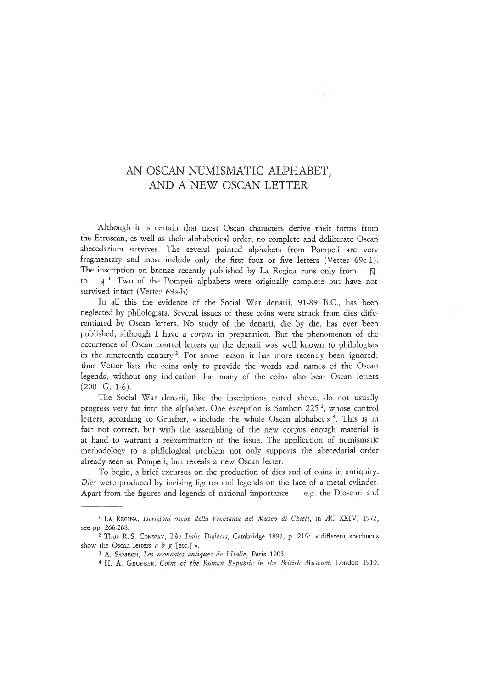## AN OSCAN NUMISMATIC ALPHABET, AND A NEW OSCAN LETTER

Although it is certain that most Oscan characters derive their forms from the Etruscan, as well as their alphabetical order, no complete and deliberate Oscan abecedarium survives. The several painted alphabets from Pompeii are very fragmentary and most include only the first four or five letters (Vetter 69c-l). The inscription on bronze recently published by La Regina runs only from  $\Box$ to  $\lambda$ <sup>1</sup>. Two of the Pompeii alphabets were originally complete but have not survived intact (Vetter 69a-b).

In all this the evidence of the Social War denarii, 91-89 B.C., has been neglected by philologists. Several issues of these coins were struck from dies differentiated by Oscan letters. No study of the denarii, die by die, has ever been published, although I have a *corpus* in preparation. But the phenomenon of the occurrence of Oscan control letters on the denarii was well known to philologists in the nineteenth century<sup>2</sup>. For some reason it has more recently been ignored; thus Vetter lists the coins only to provide the words and names of the Oscan legends, without any indication that many of the coins also bear Oscan letters (200. G. 1-6).

The Social War denarii, like the inscriptions noted above, do not usually progress very far into the alphabet. One exception is Sambon 225 3, whose control letters, according to Grueber, « include the whole Oscan alphabet »<sup>4</sup>. This is in fact not correct, but with the assembling of the new corpus enough material is at hand to warrant a reëxamination of the issue. The application of numismatic methodology to a philological problem not only supports the abecedarial order already seen at Pompeii, but reveals a new Oscan letter.

To begin, a brief excursus on the production of dies and of coins in antiquity. *Dies* were produced by incising figures and legends on the face of a metal cylinder. Apart from the figures and legends of national importance — e.g. the Dioscuri and

<sup>1</sup> La Reg in a , *Iscrizioni oscne della Frentania nel Museo di Chieti,* in *AC* XXIV, 1972, see pp. 266-268.

<sup>2</sup> Thus R. S. Conway , *I'he Italic Dialects,* Cambridge 1897, p. 216: « different specimens show the Oscan letters *a b g* [etc.] ».

<sup>&</sup>lt;sup>3</sup> A. SAMBON, *Les monnaies antiques de l'Italie*, Paris 1903.

<sup>4</sup> H. A. Gr ueber , *Coins of the Roman Republic in the British Museum,* London 1910.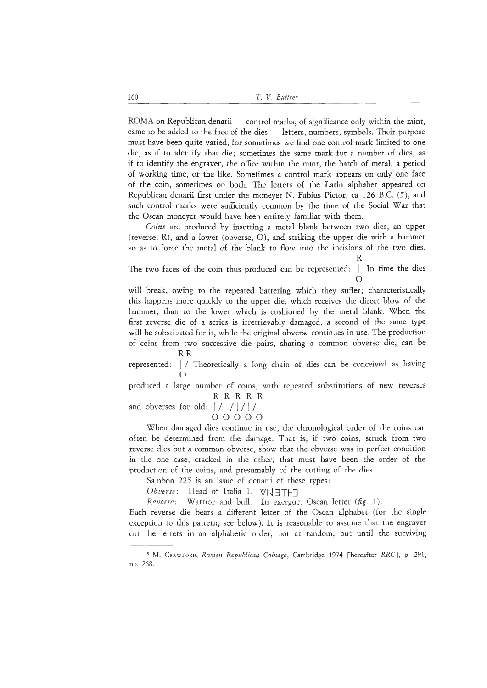ROMA on Republican denarii — control marks, of significance only within the mint, came to be added to the face of the dies —- letters, numbers, symbols. Their purpose must have been quite varied, for sometimes we find one control mark limited to one die, as if to identify that die; sometimes the same mark for a number of dies, as if to identify the engraver, the office within the mint, the batch of metal, a period of working time, or the like. Sometimes a control mark appears on only one face of the coin, sometimes on both. The letters of the Latin alphabet appeared on Republican denarii first under the moneyer N. Fabius Pictor, ca 126 B.C. (5), and such control marks were sufficiently common by the time of the Social War that the Oscan moneyer would have been entirely familiar with them.

*Coins* are produced by inserting a metal blank between two dies, an upper (reverse, R), and a lower (obverse, O), and striking the upper die with a hammer so as to force the metal of the blank to flow into the incisions of the two dies. R

The two faces of the coin thus produced can be represented: <sup>|</sup> In time the dies  $\cap$ 

will break, owing to the repeated battering which they suffer; characteristically this happens more quickly to the upper die, which receives the direct blow of the hammer, than to the lower which is cushioned by the metal blank. When the first reverse die of a series is irretrievably damaged, a second of the same type will be substituted for it, while the original obverse continues in use. The production of coins from two successive die pairs, sharing a common obverse die, can be

R<sub>R</sub>

represented: <sup>|</sup> / Theoretically <sup>a</sup> long chain of dies can be conceived as having  $\Omega$ 

produced a large number of coins, with repeated substitutions of new reverses R R R R R

and obverses for old:  $| / | / | / | / |$ 

o o o o o

When damaged dies continue in use, the chronological order of the coins can often be determined from the damage. That is, if two coins, struck from two reverse dies but a common obverse, show that the obverse was in perfect condition in the one case, cracked in the other, that must have been the order of the production of the coins, and presumably of the cutting of the dies.

Sambon 225 is an issue of denarii of these types:

*Obverse:* Head of Italia 1. VIJETHI

*Reverse:* Warrior and bull. In exergue, Oscan letter *(fig.* 1).

Each reverse die bears a different letter of the Oscan alphabet (for the single exception to this pattern, see below). It is reasonable to assume that the engraver cut the letters in an alphabetic order, not at random, but until the surviving

<sup>5</sup> Μ. Crawford , *Roman Republican Coinage,* Cambridge 1974 [hereafter RRC], p. 291, no. 268.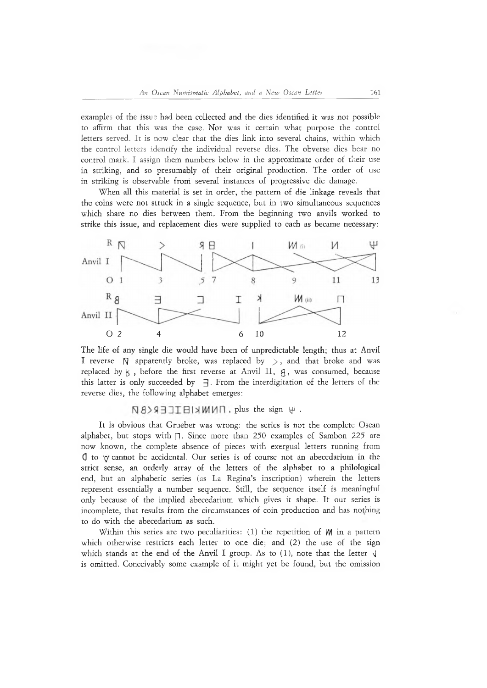examples of the issue had been collected and the dies identified it was not possible to affirm that this was the case. Nor was it certain what purpose the control letters served. It is now clear that the dies link into several chains, within which the control letters identify the individual reverse dies. The obverse dies bear no control mark. I assign them numbers below in the approximate order of their use in striking, and so presumably of their original production. The order of use in striking is observable from several instances of progressive die damage.

When all this material is set in order, the pattern of die linkage reveals that the coins were not struck in a single sequence, but in two simultaneous sequences which share no dies between them. From the beginning two anvils worked to strike this issue, and replacement dies were supplied to each as became necessary:



The life of any single die would have been of unpredictable length; thus at Anvil I reverse  $\beta$  apparently broke, was replaced by  $>$ , and that broke and was replaced by  $\mathfrak{h}$ , before the first reverse at Anvil II,  $\mathfrak{g}$ , was consumed, because this latter is only succeeded by  $\exists$ . From the interdigitation of the letters of the reverse dies, the following alphabet emerges:

**N8> SHITEIX MUN, plus the sign Ψ.** 

It is obvious that Grueber was wrong: the series is not the complete Oscan alphabet, but stops with  $\Box$ . Since more than 250 examples of Sambon 225 are now known, the complete absence of pieces with exergual letters running from  $\theta$  to  $\gamma$  cannot be accidental. Our series is of course not an abecedarium in the strict sense, an orderly array of the letters of the alphabet to a philological end, but an alphabetic series (as La Regina's inscription) wherein the letters represent essentially a number sequence. Still, the sequence itself is meaningful only because of the implied abecedarium which gives it shape. If our series is incomplete, that results from the circumstances of coin production and has nothing to do with the abecedarium as such.

Within this series are two peculiarities:  $(1)$  the repetition of  $M$  in a pattern which otherwise restricts each letter to one die; and (2) the use of the sign which stands at the end of the Anvil I group. As to  $(1)$ , note that the letter  $\sqrt{ }$ is omitted. Conceivably some example of it might yet be found, but the omission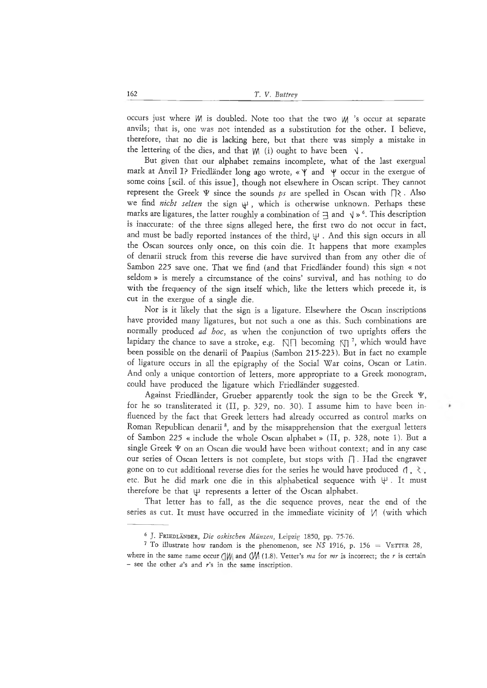occurs just where *M* is doubled. Note too that the two *M* 's occur at separate anvils; that is, one was not intended as a substitution for the other. I believe, therefore, that no die is lacking here, but that there was simply a mistake in the lettering of the dies, and that  $W_i$  (i) ought to have been  $\sqrt{ }$ .

But given that our alphabet remains incomplete, what of the last exergual mark at Anvil I? Friedländer long ago wrote,  $\ll \gamma$  and  $\gamma$  occur in the exergue of some coins [scil. of this issue], though not elsewhere in Oscan script. They cannot represent the Greek Ψ since the sounds *ps* are spelled in Oscan with  $\Box$  >. Also we find *nicht selten* the sign ψ , which is otherwise unknown. Perhaps these marks are ligatures, the latter roughly a combination of  $\exists$  and  $\forall$  »  $\degree$ . This description is inaccurate: of the three signs alleged here, the first two do not occur in fact, and must be badly reported instances of the third,  $\psi$  . And this sign occurs in all the Oscan sources only once, on this coin die. It happens that more examples of denarii struck from this reverse die have survived than from any other die of Sambon 225 save one. That we find (and that Friedländer found) this sign « not seldom » is merely a circumstance of the coins' survival, and has nothing to do with the frequency of the sign itself which, like the letters which precede it, is cut in the exergue of a single die.

Nor is it likely that the sign is a ligature. Elsewhere the Oscan inscriptions have provided many ligatures, but not such a one as this. Such combinations are normally produced *ad hoc,* as when the conjunction of two uprights offers the lapidary the chance to save a stroke, e.g.  $\mathbb{N}\cap$  becoming  $\mathbb{N}$ <sup>7</sup>, which would have been possible on the denarii of Paapius (Sambon 215-223). But in fact no example of ligature occurs in all the epigraphy of the Social War coins, Oscan or Latin. And only a unique contortion of letters, more appropriate to a Greek monogram, could have produced the ligature which Friedländer suggested.

Against Friedländer, Grueber apparently took the sign to be the Greek Ψ, for he so transliterated it (II, p. 329, no. 30). I assume him to have been influenced by the fact that Greek letters had already occurred as control marks on Roman Republican denarii<sup>8</sup>, and by the misapprehension that the exergual letters of Sambon 225 « include the whole Oscan alphabet » (II, p. 328, note 1). But a single Greek Ψ on an Oscan die would have been without context; and in any case our series of Oscan letters is not complete, but stops with Π . Had the engraver gone on to cut additional reverse dies for the series he would have produced  $(1, \xi)$ , etc. But he did mark one die in this alphabetical sequence with  $\forall$ . It must therefore be that  $\psi$  represents a letter of the Oscan alphabet.

That letter has to fall, as the die sequence proves, near the end of the series as cut. It must have occurred in the immediate vicinity of  $|/|$  (with which

<sup>&</sup>lt;sup>6</sup> J. FRIEDLÄNDER, *Die oskischen Münzen*, Leipzig 1850, pp. 75-76.

<sup>&</sup>lt;sup>7</sup> To illustrate how random is the phenomenon, see NS 1916, p. 156 = VETTER 28, where in the same name occur ( $\sqrt{W}$  and ( $\sqrt{W}$  (1.8). Vetter's *ma* for *mr* is incorrect; the *r* is certain - see the other  $a$ 's and  $r$ 's in the same inscription.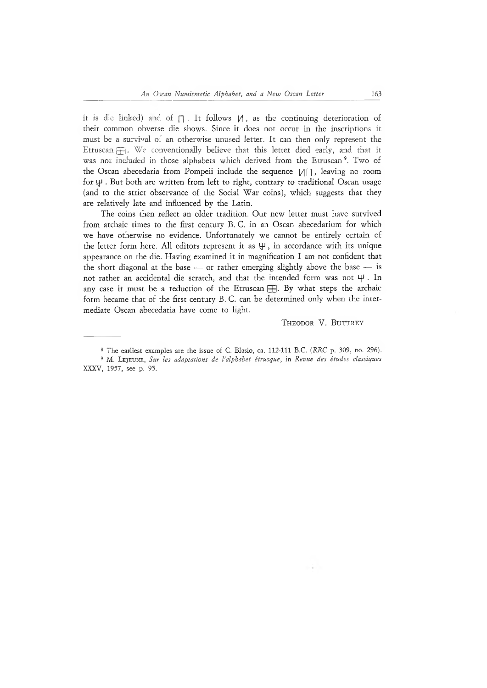it is die linked) and of  $\bigcap$ . It follows  $\bigvee$ , as the continuing deterioration of their common obverse die shows. Since it does not occur in the inscriptions it must be a survival of an otherwise unused letter. It can then only represent the Etruscan  $H$ . We conventionally believe that this letter died early, and that it was not included in those alphabets which derived from the Etruscan<sup>9</sup>. Two of the Oscan abecedaria from Pompeii include the sequence  $\mathcal{U} \cap \mathcal{V}$ , leaving no room for ψ . But both are written from left to right, contrary to traditional Oscan usage (and to the strict observance of the Social War coins), which suggests that they are relatively late and influenced by the Latin.

The coins then reflect an older tradition. Our new letter must have survived from archaic times to the first century B. C. in an Oscan abecedarium for which we have otherwise no evidence. Unfortunately we cannot be entirely certain of the letter form here. All editors represent it as  $\Psi$ , in accordance with its unique appearance on the die. Having examined it in magnification I am not confident that the short diagonal at the base - or rather emerging slightly above the base - is not rather an accidental die scratch, and that the intended form was not ψ . In any case it must be a reduction of the Etruscan  $\Box$ . By what steps the archaic form became that of the first century B. C. can be determined only when the intermediate Oscan abecedaria have come to light.

#### THEODOR V. BUTTREY

<sup>8</sup> The earliest examples are the issue of C. Blasio, ca. 112-111 B.C. *(RRC* p. 309, no. 296).

<sup>9</sup> M. Lejeu n e , *Sur les adaptations de l'alphabet étrusque,* in *Revue des études classiques* XXXV, 1957, see p. 95.